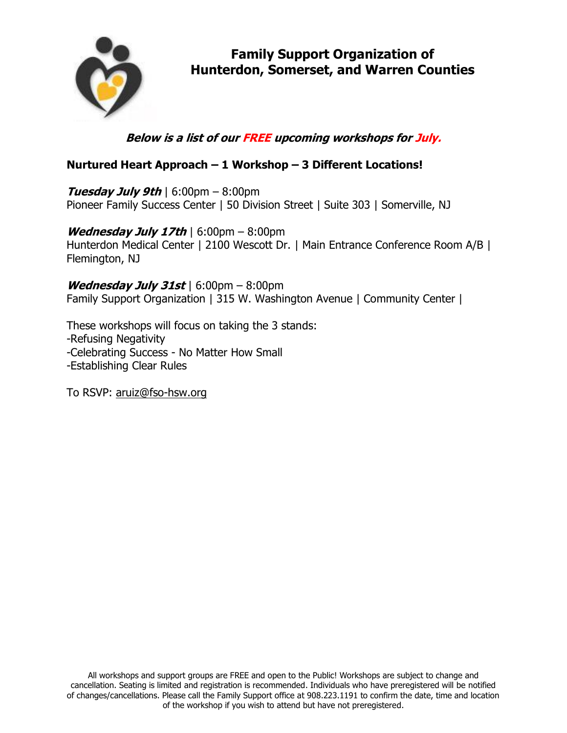

# **Below is a list of our FREE upcoming workshops for July.**

### **Nurtured Heart Approach – 1 Workshop – 3 Different Locations!**

**Tuesday July 9th** | 6:00pm – 8:00pm Pioneer Family Success Center | 50 Division Street | Suite 303 | Somerville, NJ

**Wednesday July 17th** | 6:00pm – 8:00pm Hunterdon Medical Center | 2100 Wescott Dr. | Main Entrance Conference Room A/B | Flemington, NJ

**Wednesday July 31st** | 6:00pm – 8:00pm Family Support Organization | 315 W. Washington Avenue | Community Center |

These workshops will focus on taking the 3 stands: -Refusing Negativity -Celebrating Success - No Matter How Small -Establishing Clear Rules

To RSVP: [aruiz@fso-hsw.org](mailto:aruiz@fso-hsw.org)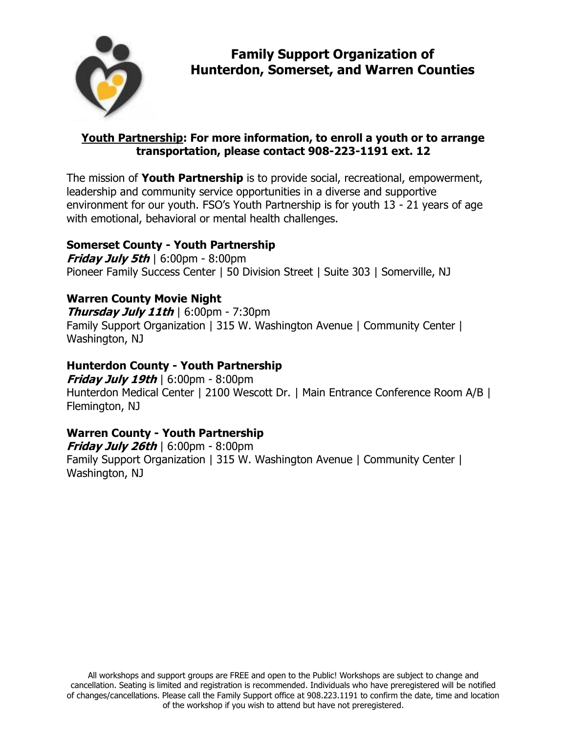

#### **Youth Partnership: For more information, to enroll a youth or to arrange transportation, please contact 908-223-1191 ext. 12**

The mission of **Youth Partnership** is to provide social, recreational, empowerment, leadership and community service opportunities in a diverse and supportive environment for our youth. FSO's Youth Partnership is for youth 13 - 21 years of age with emotional, behavioral or mental health challenges.

#### **Somerset County - Youth Partnership**

**Friday July 5th** | 6:00pm - 8:00pm Pioneer Family Success Center | 50 Division Street | Suite 303 | Somerville, NJ

## **Warren County Movie Night**

**Thursday July 11th** | 6:00pm - 7:30pm Family Support Organization | 315 W. Washington Avenue | Community Center | Washington, NJ

### **Hunterdon County - Youth Partnership**

**Friday July 19th** | 6:00pm - 8:00pm Hunterdon Medical Center | 2100 Wescott Dr. | Main Entrance Conference Room A/B | Flemington, NJ

### **Warren County - Youth Partnership**

**Friday July 26th** | 6:00pm - 8:00pm Family Support Organization | 315 W. Washington Avenue | Community Center | Washington, NJ